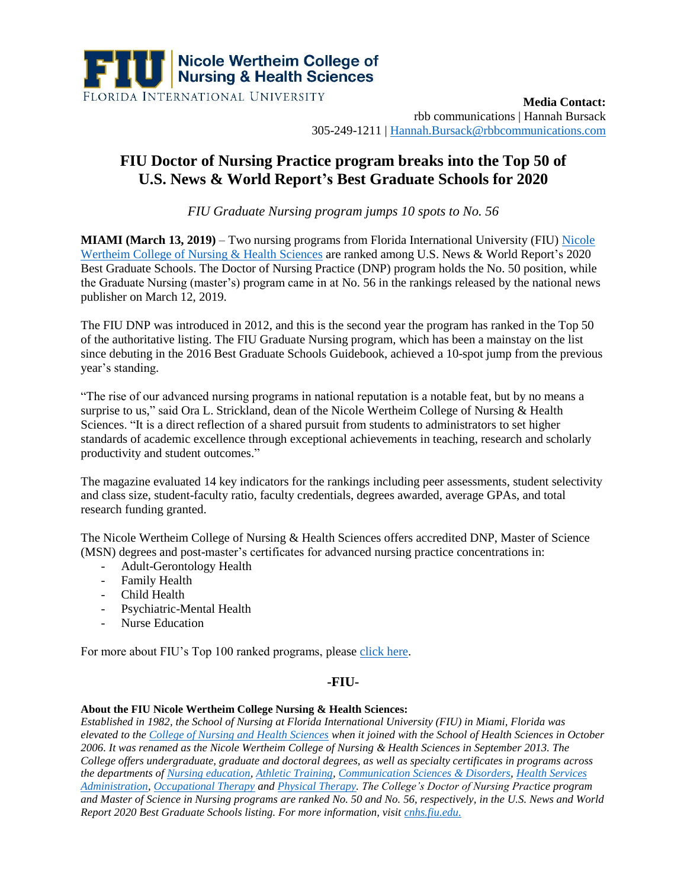

**Media Contact:**  rbb communications | Hannah Bursack 305-249-1211 | [Hannah.Bursack@rbbcommunications.com](mailto:Hannah.Bursack@rbbcommunications.com)

## **FIU Doctor of Nursing Practice program breaks into the Top 50 of U.S. News & World Report's Best Graduate Schools for 2020**

*FIU Graduate Nursing program jumps 10 spots to No. 56*

**MIAMI (March 13, 2019)** – Two nursing programs from Florida International University (FIU) Nicole [Wertheim College of Nursing &](https://cnhs.fiu.edu/) Health Sciences are ranked among U.S. News & World Report's 2020 Best Graduate Schools. The Doctor of Nursing Practice (DNP) program holds the No. 50 position, while the Graduate Nursing (master's) program came in at No. 56 in the rankings released by the national news publisher on March 12, 2019.

The FIU DNP was introduced in 2012, and this is the second year the program has ranked in the Top 50 of the authoritative listing. The FIU Graduate Nursing program, which has been a mainstay on the list since debuting in the 2016 Best Graduate Schools Guidebook, achieved a 10-spot jump from the previous year's standing.

"The rise of our advanced nursing programs in national reputation is a notable feat, but by no means a surprise to us," said Ora L. Strickland, dean of the Nicole Wertheim College of Nursing & Health Sciences. "It is a direct reflection of a shared pursuit from students to administrators to set higher standards of academic excellence through exceptional achievements in teaching, research and scholarly productivity and student outcomes."

The magazine evaluated 14 key indicators for the rankings including peer assessments, student selectivity and class size, student-faculty ratio, faculty credentials, degrees awarded, average GPAs, and total research funding granted.

The Nicole Wertheim College of Nursing & Health Sciences offers accredited DNP, Master of Science (MSN) degrees and post-master's certificates for advanced nursing practice concentrations in:

- Adult-Gerontology Health
- Family Health
- Child Health
- Psychiatric-Mental Health
- Nurse Education

For more about FIU's Top 100 ranked programs, pleas[e click here.](https://news.fiu.edu/2019/03/11-fiu-graduate-programs-among-the-top-100-public-universities-according-to-u-s-news-world-report-rankings/131422)

## **-FIU-**

## **About the FIU Nicole Wertheim College Nursing & Health Sciences:**

*Established in 1982, the School of Nursing at Florida International University (FIU) in Miami, Florida was elevated to the [College of Nursing and Health Sciences](https://cnhs.fiu.edu/) when it joined with the School of Health Sciences in October 2006. It was renamed as the Nicole Wertheim College of Nursing & Health Sciences in September 2013. The College offers undergraduate, graduate and doctoral degrees, as well as specialty certificates in programs across the departments of [Nursing education,](https://cnhs.fiu.edu/academics/nursing/index.html) [Athletic Training,](https://cnhs.fiu.edu/academics/athletic-training/index.html) [Communication Sciences & Disorders,](https://cnhs.fiu.edu/academics/communication-sciences-disorders/index.html) [Health Services](https://cnhs.fiu.edu/academics/health-services-administration/index.html)  [Administration,](https://cnhs.fiu.edu/academics/health-services-administration/index.html) [Occupational Therapy](https://cnhs.fiu.edu/academics/occupational-therapy/index.html) and [Physical Therapy.](https://cnhs.fiu.edu/academics/physical-therapy/index.html) The College's Doctor of Nursing Practice program and Master of Science in Nursing programs are ranked No. 50 and No. 56, respectively, in the U.S. News and World Report 2020 Best Graduate Schools listing. For more information, visit [cnhs.fiu.edu.](https://cnhs.fiu.edu/)*